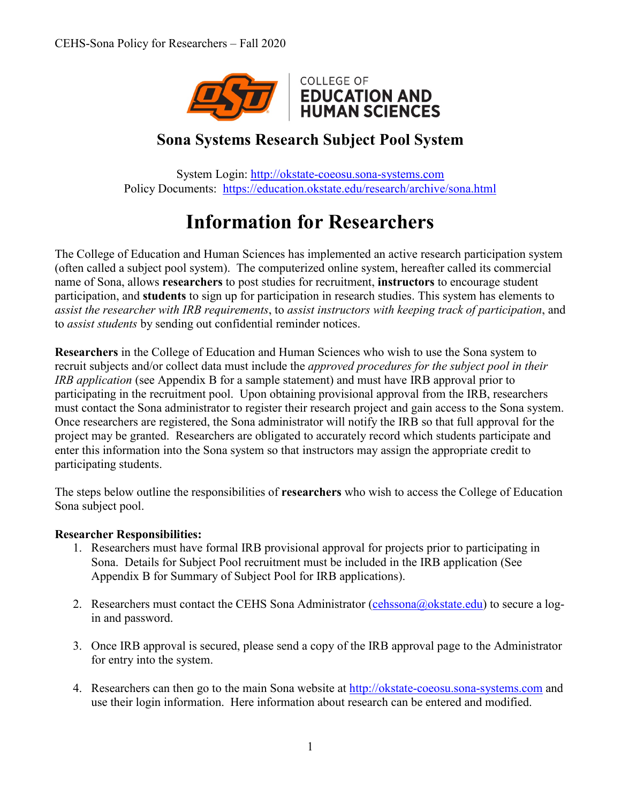

# **Sona Systems Research Subject Pool System**

System Login: [http://okstate-coeosu.sona-systems.com](http://okstate-coeosu.sona-systems.com/) Policy Documents: <https://education.okstate.edu/research/archive/sona.html>

# **Information for Researchers**

The College of Education and Human Sciences has implemented an active research participation system (often called a subject pool system). The computerized online system, hereafter called its commercial name of Sona, allows **researchers** to post studies for recruitment, **instructors** to encourage student participation, and **students** to sign up for participation in research studies. This system has elements to *assist the researcher with IRB requirements*, to *assist instructors with keeping track of participation*, and to *assist students* by sending out confidential reminder notices.

**Researchers** in the College of Education and Human Sciences who wish to use the Sona system to recruit subjects and/or collect data must include the *approved procedures for the subject pool in their IRB application* (see Appendix B for a sample statement) and must have IRB approval prior to participating in the recruitment pool. Upon obtaining provisional approval from the IRB, researchers must contact the Sona administrator to register their research project and gain access to the Sona system. Once researchers are registered, the Sona administrator will notify the IRB so that full approval for the project may be granted. Researchers are obligated to accurately record which students participate and enter this information into the Sona system so that instructors may assign the appropriate credit to participating students.

The steps below outline the responsibilities of **researchers** who wish to access the College of Education Sona subject pool.

#### **Researcher Responsibilities:**

- 1. Researchers must have formal IRB provisional approval for projects prior to participating in Sona. Details for Subject Pool recruitment must be included in the IRB application (See Appendix B for Summary of Subject Pool for IRB applications).
- 2. Researchers must contact the CEHS Sona Administrator [\(cehssona@okstate.edu\)](mailto:cehssona@okstate.edu) to secure a login and password.
- 3. Once IRB approval is secured, please send a copy of the IRB approval page to the Administrator for entry into the system.
- 4. Researchers can then go to the main Sona website at [http://okstate-coeosu.sona-systems.com](http://okstate-coeosu.sona-systems.com/) and use their login information. Here information about research can be entered and modified.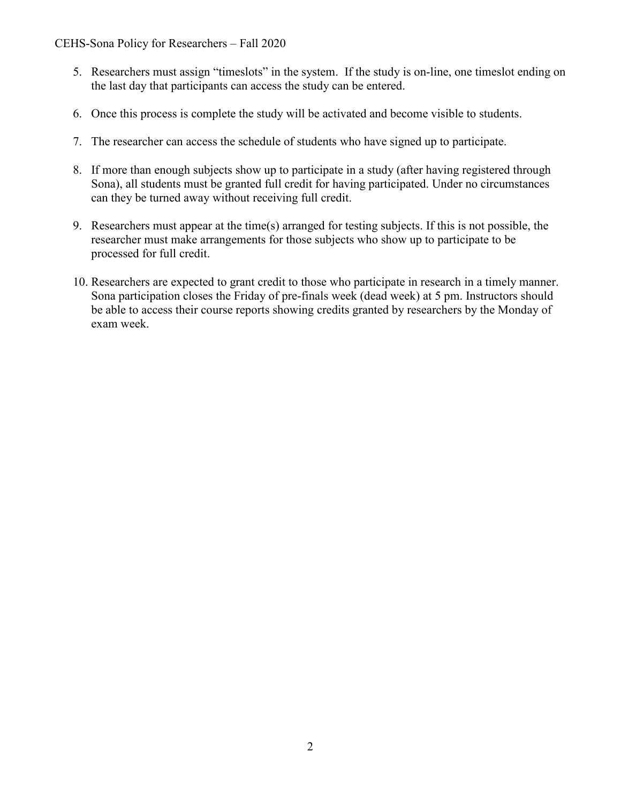CEHS-Sona Policy for Researchers – Fall 2020

- 5. Researchers must assign "timeslots" in the system. If the study is on-line, one timeslot ending on the last day that participants can access the study can be entered.
- 6. Once this process is complete the study will be activated and become visible to students.
- 7. The researcher can access the schedule of students who have signed up to participate.
- 8. If more than enough subjects show up to participate in a study (after having registered through Sona), all students must be granted full credit for having participated. Under no circumstances can they be turned away without receiving full credit.
- 9. Researchers must appear at the time(s) arranged for testing subjects. If this is not possible, the researcher must make arrangements for those subjects who show up to participate to be processed for full credit.
- 10. Researchers are expected to grant credit to those who participate in research in a timely manner. Sona participation closes the Friday of pre-finals week (dead week) at 5 pm. Instructors should be able to access their course reports showing credits granted by researchers by the Monday of exam week.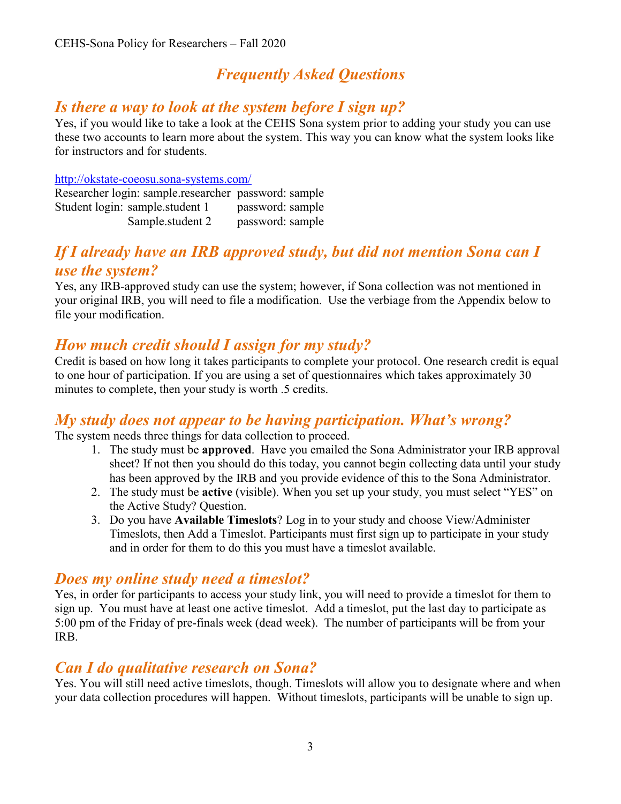# *Frequently Asked Questions*

### *Is there a way to look at the system before I sign up?*

Yes, if you would like to take a look at the CEHS Sona system prior to adding your study you can use these two accounts to learn more about the system. This way you can know what the system looks like for instructors and for students.

#### <http://okstate-coeosu.sona-systems.com/>

| Researcher login: sample.researcher password: sample |                  |
|------------------------------------------------------|------------------|
| Student login: sample.student 1                      | password: sample |
| Sample.student 2                                     | password: sample |

# *If I already have an IRB approved study, but did not mention Sona can I use the system?*

Yes, any IRB-approved study can use the system; however, if Sona collection was not mentioned in your original IRB, you will need to file a modification. Use the verbiage from the Appendix below to file your modification.

# *How much credit should I assign for my study?*

Credit is based on how long it takes participants to complete your protocol. One research credit is equal to one hour of participation. If you are using a set of questionnaires which takes approximately 30 minutes to complete, then your study is worth .5 credits.

### *My study does not appear to be having participation. What's wrong?*

The system needs three things for data collection to proceed.

- 1. The study must be **approved**. Have you emailed the Sona Administrator your IRB approval sheet? If not then you should do this today, you cannot begin collecting data until your study has been approved by the IRB and you provide evidence of this to the Sona Administrator.
- 2. The study must be **active** (visible). When you set up your study, you must select "YES" on the Active Study? Question.
- 3. Do you have **Available Timeslots**? Log in to your study and choose View/Administer Timeslots, then Add a Timeslot. Participants must first sign up to participate in your study and in order for them to do this you must have a timeslot available.

### *Does my online study need a timeslot?*

Yes, in order for participants to access your study link, you will need to provide a timeslot for them to sign up. You must have at least one active timeslot. Add a timeslot, put the last day to participate as 5:00 pm of the Friday of pre-finals week (dead week). The number of participants will be from your IRB.

### *Can I do qualitative research on Sona?*

Yes. You will still need active timeslots, though. Timeslots will allow you to designate where and when your data collection procedures will happen. Without timeslots, participants will be unable to sign up.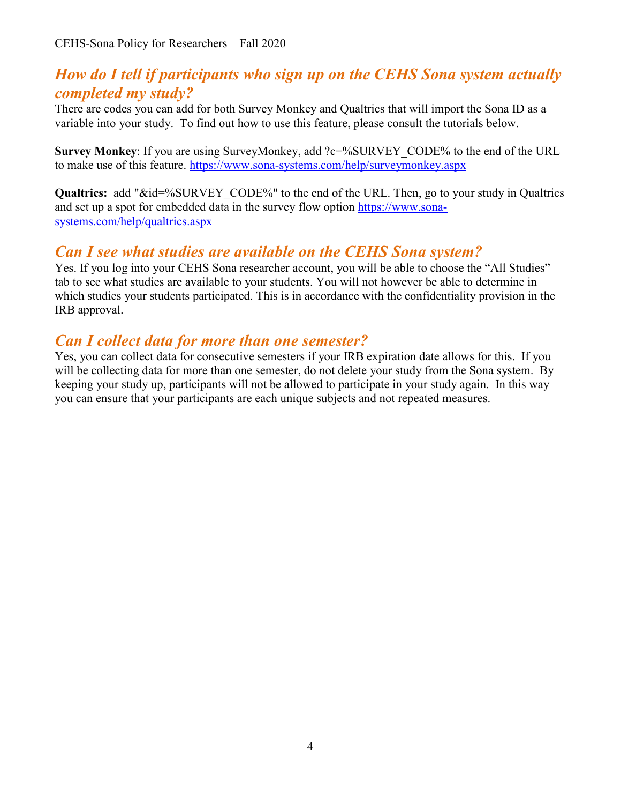# *How do I tell if participants who sign up on the CEHS Sona system actually completed my study?*

There are codes you can add for both Survey Monkey and Qualtrics that will import the Sona ID as a variable into your study. To find out how to use this feature, please consult the tutorials below.

**Survey Monkey:** If you are using SurveyMonkey, add ?c=%SURVEY CODE% to the end of the URL to make use of this feature. <https://www.sona-systems.com/help/surveymonkey.aspx>

**Qualtrics:** add "&id=%SURVEY\_CODE%" to the end of the URL. Then, go to your study in Qualtrics and set up a spot for embedded data in the survey flow option [https://www.sona](https://www.sona-systems.com/help/qualtrics.aspx)[systems.com/help/qualtrics.aspx](https://www.sona-systems.com/help/qualtrics.aspx)

### *Can I see what studies are available on the CEHS Sona system?*

Yes. If you log into your CEHS Sona researcher account, you will be able to choose the "All Studies" tab to see what studies are available to your students. You will not however be able to determine in which studies your students participated. This is in accordance with the confidentiality provision in the IRB approval.

# *Can I collect data for more than one semester?*

Yes, you can collect data for consecutive semesters if your IRB expiration date allows for this. If you will be collecting data for more than one semester, do not delete your study from the Sona system. By keeping your study up, participants will not be allowed to participate in your study again. In this way you can ensure that your participants are each unique subjects and not repeated measures.